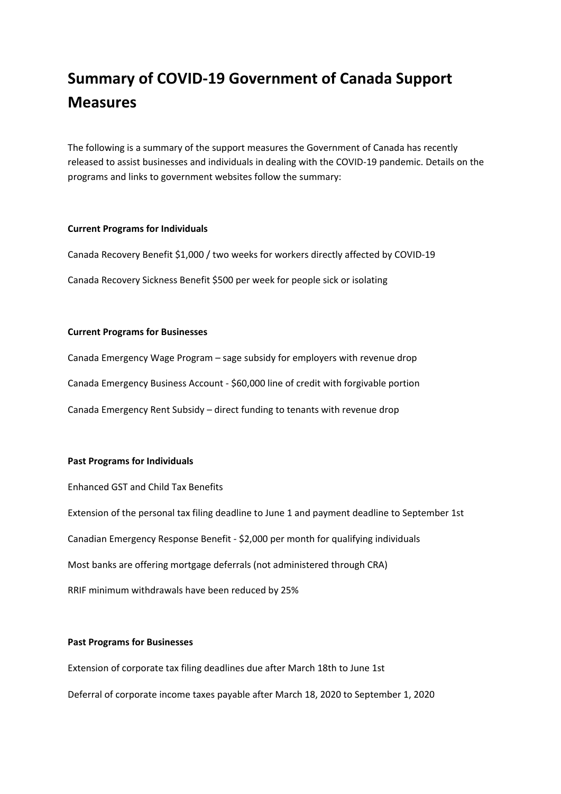# **Summary of COVID-19 Government of Canada Support Measures**

The following is a summary of the support measures the Government of Canada has recently released to assist businesses and individuals in dealing with the COVID-19 pandemic. Details on the programs and links to government websites follow the summary:

#### **Current Programs for Individuals**

Canada Recovery Benefit \$1,000 / two weeks for workers directly affected by COVID-19 Canada Recovery Sickness Benefit \$500 per week for people sick or isolating

#### **Current Programs for Businesses**

Canada Emergency Wage Program – sage subsidy for employers with revenue drop Canada Emergency Business Account - \$60,000 line of credit with forgivable portion Canada Emergency Rent Subsidy – direct funding to tenants with revenue drop

## **Past Programs for Individuals**

Enhanced GST and Child Tax Benefits

Extension of the personal tax filing deadline to June 1 and payment deadline to September 1st

Canadian Emergency Response Benefit - \$2,000 per month for qualifying individuals

Most banks are offering mortgage deferrals (not administered through CRA)

RRIF minimum withdrawals have been reduced by 25%

#### **Past Programs for Businesses**

Extension of corporate tax filing deadlines due after March 18th to June 1st Deferral of corporate income taxes payable after March 18, 2020 to September 1, 2020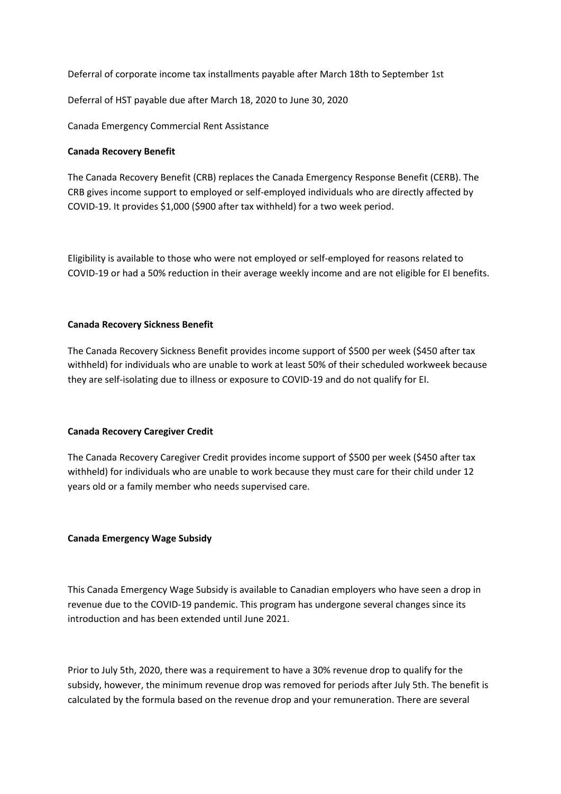Deferral of corporate income tax installments payable after March 18th to September 1st

Deferral of HST payable due after March 18, 2020 to June 30, 2020

Canada Emergency Commercial Rent Assistance

# **Canada Recovery Benefit**

The Canada Recovery Benefit (CRB) replaces the Canada Emergency Response Benefit (CERB). The CRB gives income support to employed or self-employed individuals who are directly affected by COVID-19. It provides \$1,000 (\$900 after tax withheld) for a two week period.

Eligibility is available to those who were not employed or self-employed for reasons related to COVID-19 or had a 50% reduction in their average weekly income and are not eligible for EI benefits.

# **Canada Recovery Sickness Benefit**

The Canada Recovery Sickness Benefit provides income support of \$500 per week (\$450 after tax withheld) for individuals who are unable to work at least 50% of their scheduled workweek because they are self-isolating due to illness or exposure to COVID-19 and do not qualify for EI.

## **Canada Recovery Caregiver Credit**

The Canada Recovery Caregiver Credit provides income support of \$500 per week (\$450 after tax withheld) for individuals who are unable to work because they must care for their child under 12 years old or a family member who needs supervised care.

## **Canada Emergency Wage Subsidy**

This Canada Emergency Wage Subsidy is available to Canadian employers who have seen a drop in revenue due to the COVID-19 pandemic. This program has undergone several changes since its introduction and has been extended until June 2021.

Prior to July 5th, 2020, there was a requirement to have a 30% revenue drop to qualify for the subsidy, however, the minimum revenue drop was removed for periods after July 5th. The benefit is calculated by the formula based on the revenue drop and your remuneration. There are several